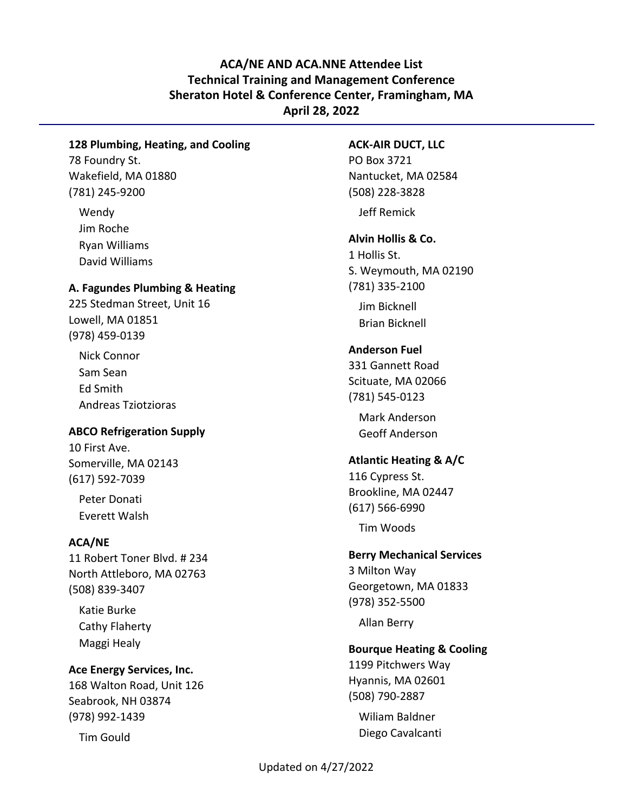# **ACA/NE AND ACA.NNE Attendee List Technical Training and Management Conference Sheraton Hotel & Conference Center, Framingham, MA April 28, 2022**

## **128 Plumbing, Heating, and Cooling**

78 Foundry St. Wakefield, MA 01880 (781) 245-9200

Wendy Jim Roche Ryan Williams David Williams

#### **A. Fagundes Plumbing & Heating**

225 Stedman Street, Unit 16 Lowell, MA 01851 (978) 459-0139

Nick Connor Sam Sean Ed Smith Andreas Tziotzioras

## **ABCO Refrigeration Supply**

10 First Ave. Somerville, MA 02143 (617) 592-7039

Peter Donati Everett Walsh

## **ACA/NE**

11 Robert Toner Blvd. # 234 North Attleboro, MA 02763 (508) 839-3407

Katie Burke Cathy Flaherty Maggi Healy

#### **Ace Energy Services, Inc.**

168 Walton Road, Unit 126 Seabrook, NH 03874 (978) 992-1439

Tim Gould

#### **ACK-AIR DUCT, LLC**

PO Box 3721 Nantucket, MA 02584 (508) 228-3828 Jeff Remick

**Alvin Hollis & Co.**

1 Hollis St. S. Weymouth, MA 02190 (781) 335-2100

Jim Bicknell Brian Bicknell

## **Anderson Fuel**

331 Gannett Road Scituate, MA 02066 (781) 545-0123

> Mark Anderson Geoff Anderson

#### **Atlantic Heating & A/C**

116 Cypress St. Brookline, MA 02447 (617) 566-6990

Tim Woods

## **Berry Mechanical Services**

3 Milton Way Georgetown, MA 01833 (978) 352-5500

Allan Berry

#### **Bourque Heating & Cooling**

1199 Pitchwers Way Hyannis, MA 02601 (508) 790-2887

Wiliam Baldner Diego Cavalcanti

Updated on 4/27/2022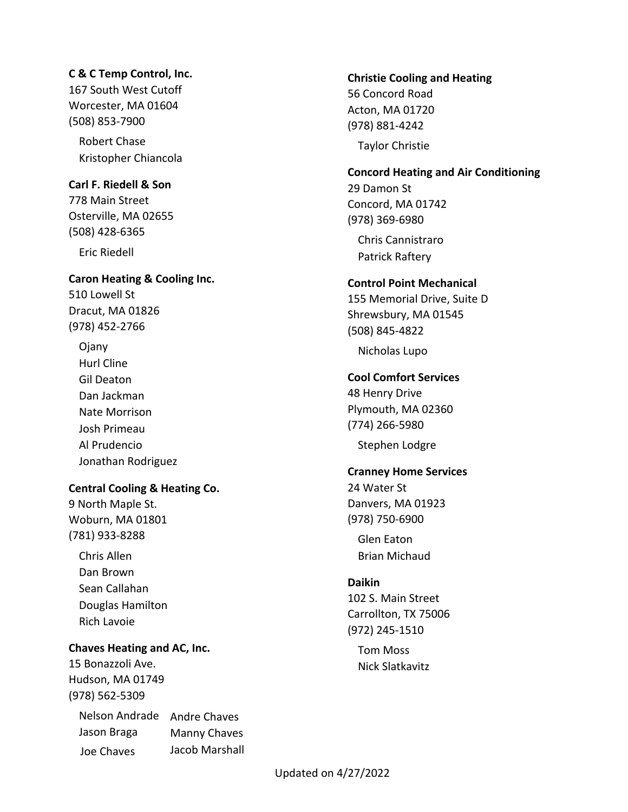## **C & C Temp Control, Inc.**

167 South West Cutoff Worcester, MA 01604 (508) 853-7900

Robert Chase Kristopher Chiancola

## **Carl F. Riedell & Son**

778 Main Street Osterville, MA 02655 (508) 428-6365 Eric Riedell

## **Caron Heating & Cooling Inc.**

510 Lowell St Dracut, MA 01826 (978) 452-2766

Ojany Hurl Cline Gil Deaton Dan Jackman Nate Morrison Josh Primeau Al Prudencio Jonathan Rodriguez

## **Central Cooling & Heating Co.**

9 North Maple St. Woburn, MA 01801 (781) 933-8288

Chris Allen Dan Brown Sean Callahan Douglas Hamilton Rich Lavoie

## **Chaves Heating and AC, Inc.**

15 Bonazzoli Ave. Hudson, MA 01749 (978) 562-5309

Nelson Andrade Andre Chaves Jason Braga Joe Chaves Manny Chaves Jacob Marshall

## **Christie Cooling and Heating**

56 Concord Road Acton, MA 01720 (978) 881-4242

Taylor Christie

# **Concord Heating and Air Conditioning**

29 Damon St Concord, MA 01742 (978) 369-6980

Chris Cannistraro Patrick Raftery

## **Control Point Mechanical**

155 Memorial Drive, Suite D Shrewsbury, MA 01545 (508) 845-4822

Nicholas Lupo

## **Cool Comfort Services**

48 Henry Drive Plymouth, MA 02360 (774) 266-5980

Stephen Lodgre

# **Cranney Home Services**

24 Water St Danvers, MA 01923 (978) 750-6900

Glen Eaton Brian Michaud

## **Daikin**

102 S. Main Street Carrollton, TX 75006 (972) 245-1510

> Tom Moss Nick Slatkavitz

Updated on 4/27/2022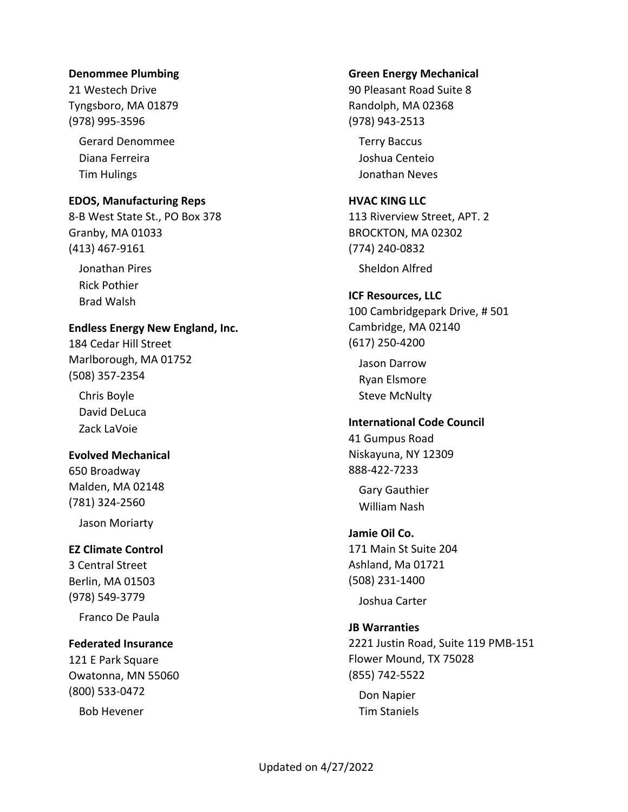#### **Denommee Plumbing**

21 Westech Drive Tyngsboro, MA 01879 (978) 995-3596

Gerard Denommee Diana Ferreira Tim Hulings

#### **EDOS, Manufacturing Reps**

8-B West State St., PO Box 378 Granby, MA 01033 (413) 467-9161

Jonathan Pires Rick Pothier Brad Walsh

#### **Endless Energy New England, Inc.**

184 Cedar Hill Street Marlborough, MA 01752 (508) 357-2354

Chris Boyle David DeLuca Zack LaVoie

## **Evolved Mechanical**

650 Broadway Malden, MA 02148 (781) 324-2560

Jason Moriarty

## **EZ Climate Control**

3 Central Street Berlin, MA 01503 (978) 549-3779

Franco De Paula

# **Federated Insurance**

121 E Park Square Owatonna, MN 55060 (800) 533-0472

Bob Hevener

#### **Green Energy Mechanical**

90 Pleasant Road Suite 8 Randolph, MA 02368 (978) 943-2513

Terry Baccus Joshua Centeio Jonathan Neves

#### **HVAC KING LLC**

113 Riverview Street, APT. 2 BROCKTON, MA 02302 (774) 240-0832

Sheldon Alfred

#### **ICF Resources, LLC**

100 Cambridgepark Drive, # 501 Cambridge, MA 02140 (617) 250-4200

Jason Darrow Ryan Elsmore Steve McNulty

#### **International Code Council**

41 Gumpus Road Niskayuna, NY 12309 888-422-7233

Gary Gauthier William Nash

#### **Jamie Oil Co.**

171 Main St Suite 204 Ashland, Ma 01721 (508) 231-1400

Joshua Carter

## **JB Warranties**

2221 Justin Road, Suite 119 PMB-151 Flower Mound, TX 75028 (855) 742-5522

Don Napier Tim Staniels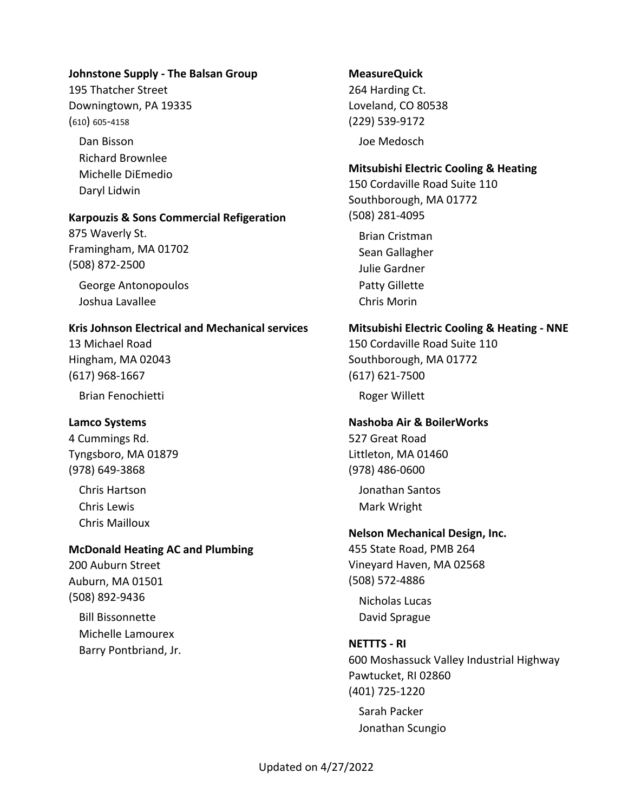#### **Johnstone Supply - The Balsan Group**

195 Thatcher Street Downingtown, PA 19335 (610) 605-4158

Dan Bisson Richard Brownlee Michelle DiEmedio Daryl Lidwin

#### **Karpouzis & Sons Commercial Refigeration**

875 Waverly St. Framingham, MA 01702 (508) 872-2500

George Antonopoulos Joshua Lavallee

#### **Kris Johnson Electrical and Mechanical services**

13 Michael Road Hingham, MA 02043 (617) 968-1667

Brian Fenochietti

## **Lamco Systems**

4 Cummings Rd. Tyngsboro, MA 01879 (978) 649-3868

Chris Hartson Chris Lewis Chris Mailloux

## **McDonald Heating AC and Plumbing**

200 Auburn Street Auburn, MA 01501 (508) 892-9436

Bill Bissonnette Michelle Lamourex Barry Pontbriand, Jr.

# **MeasureQuick**

264 Harding Ct. Loveland, CO 80538 (229) 539-9172 Joe Medosch

## **Mitsubishi Electric Cooling & Heating**

150 Cordaville Road Suite 110 Southborough, MA 01772 (508) 281-4095

Brian Cristman Sean Gallagher Julie Gardner Patty Gillette Chris Morin

#### **Mitsubishi Electric Cooling & Heating - NNE**

150 Cordaville Road Suite 110 Southborough, MA 01772 (617) 621-7500

Roger Willett

## **Nashoba Air & BoilerWorks**

527 Great Road Littleton, MA 01460 (978) 486-0600

Jonathan Santos Mark Wright

## **Nelson Mechanical Design, Inc.**

455 State Road, PMB 264 Vineyard Haven, MA 02568 (508) 572-4886

Nicholas Lucas David Sprague

## **NETTTS - RI**

600 Moshassuck Valley Industrial Highway Pawtucket, RI 02860 (401) 725-1220

Sarah Packer Jonathan Scungio

## Updated on 4/27/2022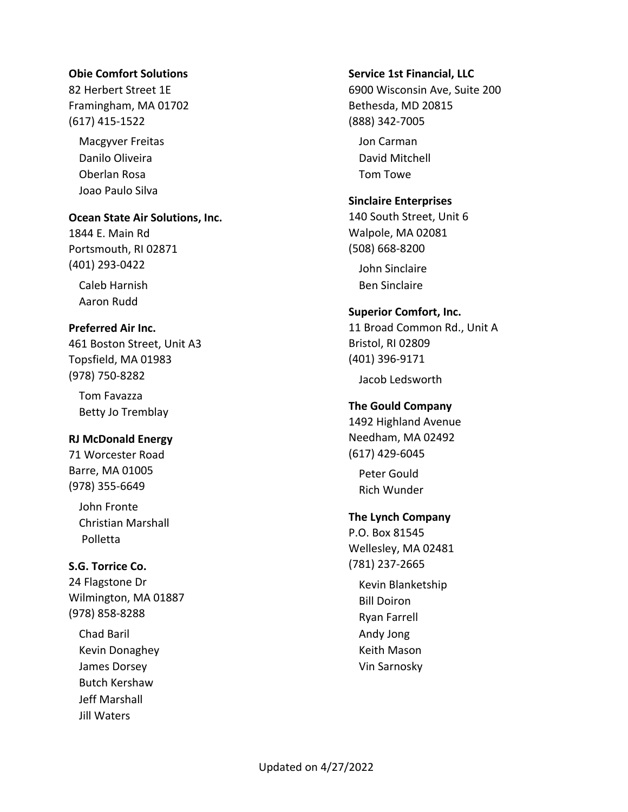## **Obie Comfort Solutions**

82 Herbert Street 1E Framingham, MA 01702 (617) 415-1522

Macgyver Freitas Danilo Oliveira Oberlan Rosa Joao Paulo Silva

**Ocean State Air Solutions, Inc.**

1844 E. Main Rd Portsmouth, RI 02871 (401) 293-0422

Caleb Harnish Aaron Rudd

## **Preferred Air Inc.**

461 Boston Street, Unit A3 Topsfield, MA 01983 (978) 750-8282

Tom Favazza Betty Jo Tremblay

## **RJ McDonald Energy**

71 Worcester Road Barre, MA 01005 (978) 355-6649

John Fronte Christian Marshall Polletta

## **S.G. Torrice Co.**

24 Flagstone Dr Wilmington, MA 01887 (978) 858-8288

Chad Baril Kevin Donaghey James Dorsey Butch Kershaw Jeff Marshall Jill Waters

#### **Service 1st Financial, LLC**

6900 Wisconsin Ave, Suite 200 Bethesda, MD 20815 (888) 342-7005

Jon Carman David Mitchell Tom Towe

#### **Sinclaire Enterprises**

140 South Street, Unit 6 Walpole, MA 02081 (508) 668-8200

John Sinclaire Ben Sinclaire

#### **Superior Comfort, Inc.**

11 Broad Common Rd., Unit A Bristol, RI 02809 (401) 396-9171

Jacob Ledsworth

## **The Gould Company**

1492 Highland Avenue Needham, MA 02492 (617) 429-6045

Peter Gould Rich Wunder

## **The Lynch Company**

P.O. Box 81545 Wellesley, MA 02481 (781) 237-2665 Kevin Blanketship Bill Doiron Ryan Farrell Andy Jong Keith Mason Vin Sarnosky